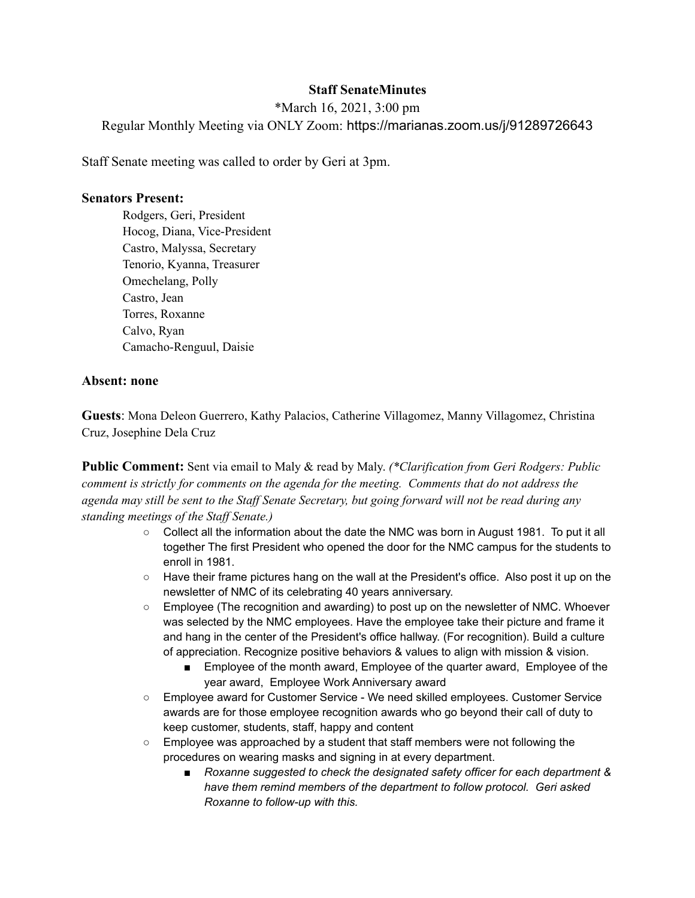# **Staff SenateMinutes**

\*March 16, 2021, 3:00 pm Regular Monthly Meeting via ONLY Zoom: https://marianas.zoom.us/j/91289726643

Staff Senate meeting was called to order by Geri at 3pm.

#### **Senators Present:**

Rodgers, Geri, President Hocog, Diana, Vice-President Castro, Malyssa, Secretary Tenorio, Kyanna, Treasurer Omechelang, Polly Castro, Jean Torres, Roxanne Calvo, Ryan Camacho-Renguul, Daisie

### **Absent: none**

**Guests**: Mona Deleon Guerrero, Kathy Palacios, Catherine Villagomez, Manny Villagomez, Christina Cruz, Josephine Dela Cruz

**Public Comment:** Sent via email to Maly & read by Maly. *(\*Clarification from Geri Rodgers: Public comment is strictly for comments on the agenda for the meeting. Comments that do not address the* agenda may still be sent to the Staff Senate Secretary, but going forward will not be read during any *standing meetings of the Staf Senate.)*

- Collect all the information about the date the NMC was born in August 1981. To put it all together The first President who opened the door for the NMC campus for the students to enroll in 1981.
- Have their frame pictures hang on the wall at the President's office. Also post it up on the newsletter of NMC of its celebrating 40 years anniversary.
- Employee (The recognition and awarding) to post up on the newsletter of NMC. Whoever was selected by the NMC employees. Have the employee take their picture and frame it and hang in the center of the President's office hallway. (For recognition). Build a culture of appreciation. Recognize positive behaviors & values to align with mission & vision.
	- Employee of the month award, Employee of the quarter award, Employee of the year award, Employee Work Anniversary award
- Employee award for Customer Service We need skilled employees. Customer Service awards are for those employee recognition awards who go beyond their call of duty to keep customer, students, staff, happy and content
- Employee was approached by a student that staff members were not following the procedures on wearing masks and signing in at every department.
	- *■ Roxanne suggested to check the designated safety officer for each department & have them remind members of the department to follow protocol. Geri asked Roxanne to follow-up with this.*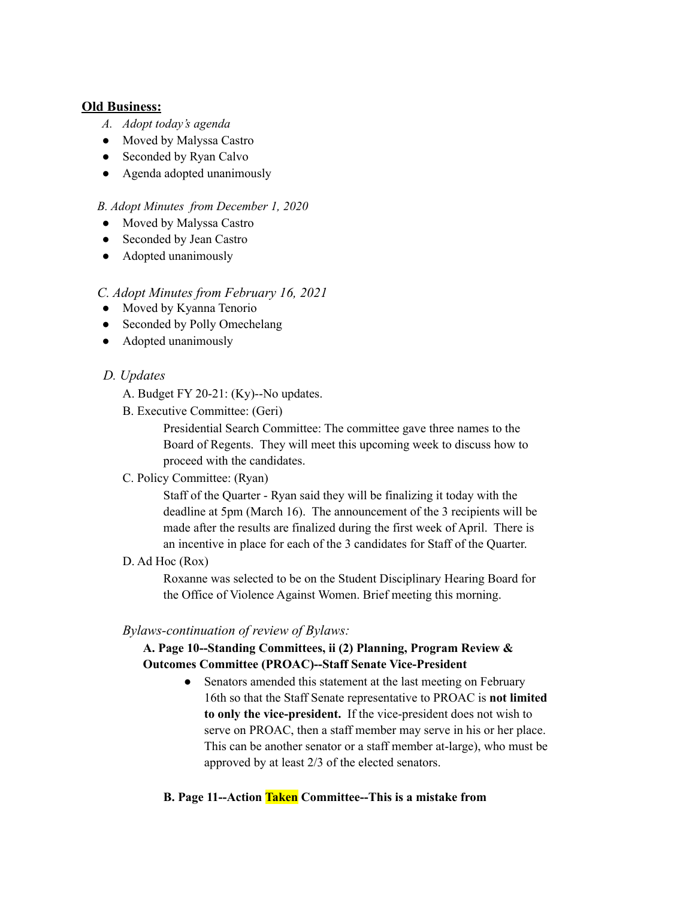### **Old Business:**

- *A. Adopt today's agenda*
- Moved by Malyssa Castro
- Seconded by Ryan Calvo
- Agenda adopted unanimously

### *B. Adopt Minutes from December 1, 2020*

- Moved by Malyssa Castro
- Seconded by Jean Castro
- Adopted unanimously

## *C. Adopt Minutes from February 16, 2021*

- Moved by Kyanna Tenorio
- Seconded by Polly Omechelang
- Adopted unanimously

## *D. Updates*

- A. Budget FY 20-21: (Ky)--No updates.
- B. Executive Committee: (Geri)

Presidential Search Committee: The committee gave three names to the Board of Regents. They will meet this upcoming week to discuss how to proceed with the candidates.

C. Policy Committee: (Ryan)

Staff of the Quarter - Ryan said they will be finalizing it today with the deadline at 5pm (March 16). The announcement of the 3 recipients will be made after the results are finalized during the first week of April. There is an incentive in place for each of the 3 candidates for Staff of the Quarter.

D. Ad Hoc (Rox)

Roxanne was selected to be on the Student Disciplinary Hearing Board for the Office of Violence Against Women. Brief meeting this morning.

## *Bylaws-continuation of review of Bylaws:*

# **A. Page 10--Standing Committees, ii (2) Planning, Program Review & Outcomes Committee (PROAC)--Staff Senate Vice-President**

• Senators amended this statement at the last meeting on February 16th so that the Staff Senate representative to PROAC is **not limited to only the vice-president.** If the vice-president does not wish to serve on PROAC, then a staff member may serve in his or her place. This can be another senator or a staff member at-large), who must be approved by at least 2/3 of the elected senators.

#### **B. Page 11--Action Taken Committee--This is a mistake from**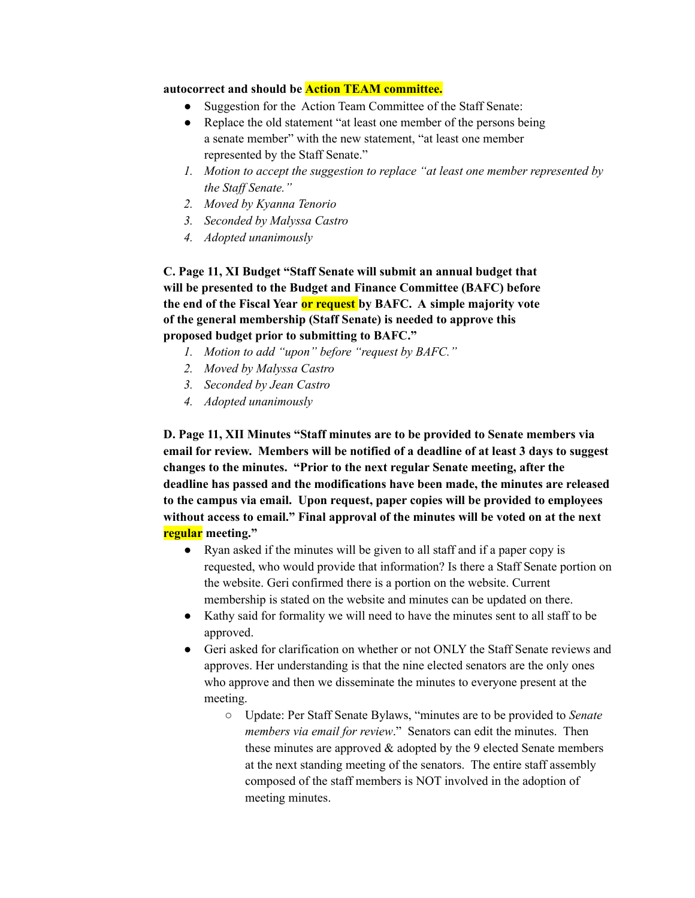#### **autocorrect and should be Action TEAM committee.**

- Suggestion for the Action Team Committee of the Staff Senate:
- Replace the old statement "at least one member of the persons being a senate member" with the new statement, "at least one member represented by the Staff Senate."
- *1. Motion to accept the suggestion to replace "at least one member represented by the Staf Senate."*
- *2. Moved by Kyanna Tenorio*
- *3. Seconded by Malyssa Castro*
- *4. Adopted unanimously*

**C. Page 11, XI Budget "Staff Senate will submit an annual budget that will be presented to the Budget and Finance Committee (BAFC) before the end of the Fiscal Year or request by BAFC. A simple majority vote of the general membership (Staff Senate) is needed to approve this proposed budget prior to submitting to BAFC."**

- *1. Motion to add "upon" before "request by BAFC."*
- *2. Moved by Malyssa Castro*
- *3. Seconded by Jean Castro*
- *4. Adopted unanimously*

**D. Page 11, XII Minutes "Staff minutes are to be provided to Senate members via email for review. Members will be notified of a deadline of at least 3 days to suggest changes to the minutes. "Prior to the next regular Senate meeting, after the deadline has passed and the modifications have been made, the minutes are released to the campus via email. Upon request, paper copies will be provided to employees without access to email." Final approval of the minutes will be voted on at the next regular meeting."**

- Ryan asked if the minutes will be given to all staff and if a paper copy is requested, who would provide that information? Is there a Staff Senate portion on the website. Geri confirmed there is a portion on the website. Current membership is stated on the website and minutes can be updated on there.
- Kathy said for formality we will need to have the minutes sent to all staff to be approved.
- Geri asked for clarification on whether or not ONLY the Staff Senate reviews and approves. Her understanding is that the nine elected senators are the only ones who approve and then we disseminate the minutes to everyone present at the meeting.
	- Update: Per Staff Senate Bylaws, "minutes are to be provided to *Senate members via email for review*." Senators can edit the minutes. Then these minutes are approved  $\&$  adopted by the 9 elected Senate members at the next standing meeting of the senators. The entire staff assembly composed of the staff members is NOT involved in the adoption of meeting minutes.